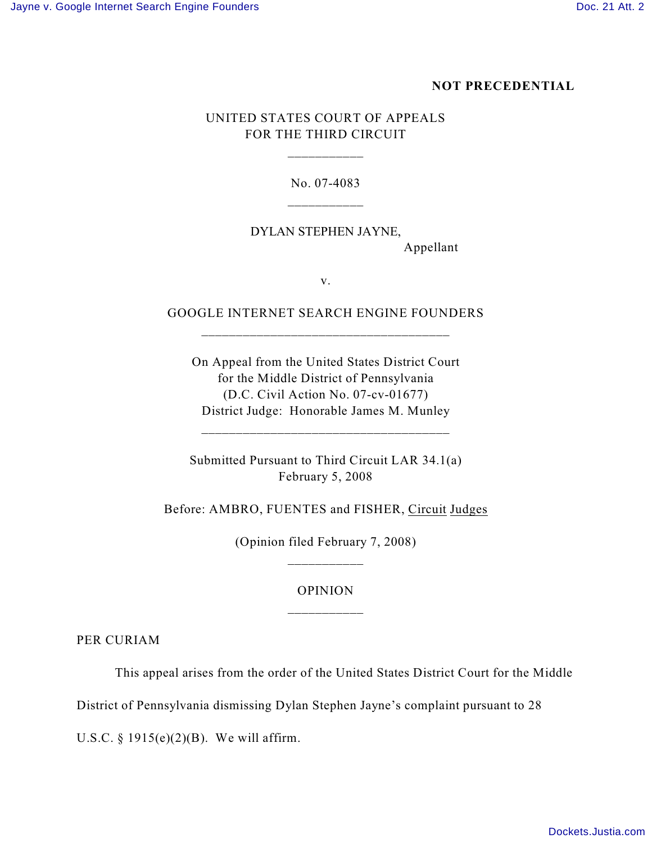#### **NOT PRECEDENTIAL**

# UNITED STATES COURT OF APPEALS FOR THE THIRD CIRCUIT

\_\_\_\_\_\_\_\_\_\_\_

No. 07-4083

# DYLAN STEPHEN JAYNE, Appellant

v.

#### GOOGLE INTERNET SEARCH ENGINE FOUNDERS \_\_\_\_\_\_\_\_\_\_\_\_\_\_\_\_\_\_\_\_\_\_\_\_\_\_\_\_\_\_\_\_\_\_\_\_

On Appeal from the United States District Court for the Middle District of Pennsylvania (D.C. Civil Action No. 07-cv-01677) District Judge: Honorable James M. Munley

Submitted Pursuant to Third Circuit LAR 34.1(a) February 5, 2008

Before: AMBRO, FUENTES and FISHER, Circuit Judges

(Opinion filed February 7, 2008) \_\_\_\_\_\_\_\_\_\_\_

# OPINION \_\_\_\_\_\_\_\_\_\_\_

PER CURIAM

This appeal arises from the order of the United States District Court for the Middle

District of Pennsylvania dismissing Dylan Stephen Jayne's complaint pursuant to 28

U.S.C. § 1915(e)(2)(B). We will affirm.